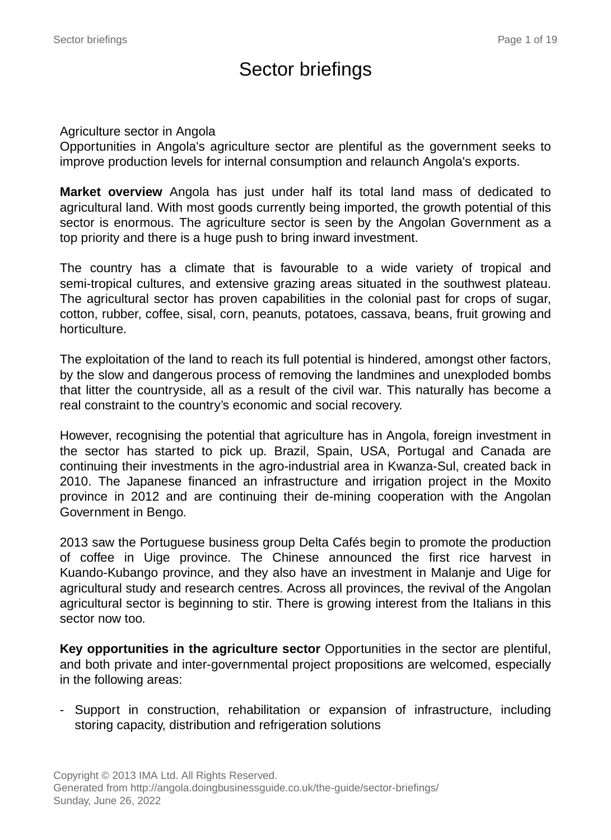# Sector briefings

#### Agriculture sector in Angola

Opportunities in Angola's agriculture sector are plentiful as the government seeks to improve production levels for internal consumption and relaunch Angola's exports.

**Market overview** Angola has just under half its total land mass of dedicated to agricultural land. With most goods currently being imported, the growth potential of this sector is enormous. The agriculture sector is seen by the Angolan Government as a top priority and there is a huge push to bring inward investment.

The country has a climate that is favourable to a wide variety of tropical and semi-tropical cultures, and extensive grazing areas situated in the southwest plateau. The agricultural sector has proven capabilities in the colonial past for crops of sugar, cotton, rubber, coffee, sisal, corn, peanuts, potatoes, cassava, beans, fruit growing and horticulture.

The exploitation of the land to reach its full potential is hindered, amongst other factors, by the slow and dangerous process of removing the landmines and unexploded bombs that litter the countryside, all as a result of the civil war. This naturally has become a real constraint to the country's economic and social recovery.

However, recognising the potential that agriculture has in Angola, foreign investment in the sector has started to pick up. Brazil, Spain, USA, Portugal and Canada are continuing their investments in the agro-industrial area in Kwanza-Sul, created back in 2010. The Japanese financed an infrastructure and irrigation project in the Moxito province in 2012 and are continuing their de-mining cooperation with the Angolan Government in Bengo.

2013 saw the Portuguese business group Delta Cafés begin to promote the production of coffee in Uige province. The Chinese announced the first rice harvest in Kuando-Kubango province, and they also have an investment in Malanje and Uige for agricultural study and research centres. Across all provinces, the revival of the Angolan agricultural sector is beginning to stir. There is growing interest from the Italians in this sector now too.

**Key opportunities in the agriculture sector** Opportunities in the sector are plentiful, and both private and inter-governmental project propositions are welcomed, especially in the following areas:

- Support in construction, rehabilitation or expansion of infrastructure, including storing capacity, distribution and refrigeration solutions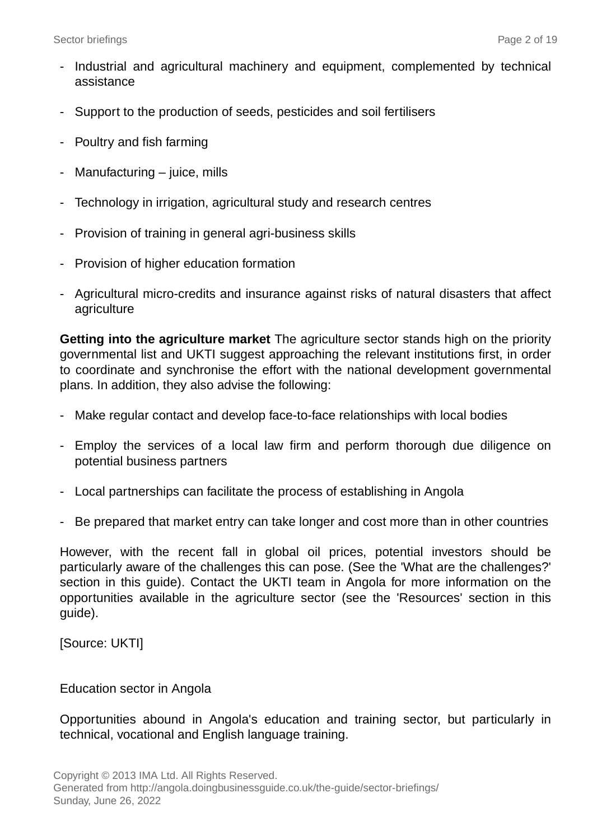- Industrial and agricultural machinery and equipment, complemented by technical assistance
- Support to the production of seeds, pesticides and soil fertilisers
- Poultry and fish farming
- Manufacturing juice, mills
- Technology in irrigation, agricultural study and research centres
- Provision of training in general agri-business skills
- Provision of higher education formation
- Agricultural micro-credits and insurance against risks of natural disasters that affect agriculture

**Getting into the agriculture market** The agriculture sector stands high on the priority governmental list and UKTI suggest approaching the relevant institutions first, in order to coordinate and synchronise the effort with the national development governmental plans. In addition, they also advise the following:

- Make regular contact and develop face-to-face relationships with local bodies
- Employ the services of a local law firm and perform thorough due diligence on potential business partners
- Local partnerships can facilitate the process of establishing in Angola
- Be prepared that market entry can take longer and cost more than in other countries

However, with the recent fall in global oil prices, potential investors should be particularly aware of the challenges this can pose. (See the 'What are the challenges?' section in this guide). Contact the UKTI team in Angola for more information on the opportunities available in the agriculture sector (see the 'Resources' section in this guide).

[Source: UKTI]

#### Education sector in Angola

Opportunities abound in Angola's education and training sector, but particularly in technical, vocational and English language training.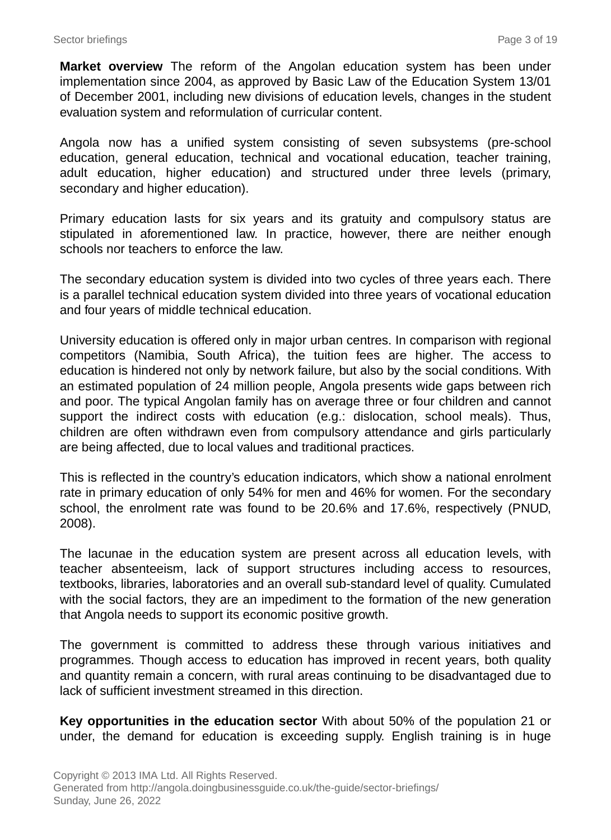**Market overview** The reform of the Angolan education system has been under implementation since 2004, as approved by Basic Law of the Education System 13/01 of December 2001, including new divisions of education levels, changes in the student evaluation system and reformulation of curricular content.

Angola now has a unified system consisting of seven subsystems (pre-school education, general education, technical and vocational education, teacher training, adult education, higher education) and structured under three levels (primary, secondary and higher education).

Primary education lasts for six years and its gratuity and compulsory status are stipulated in aforementioned law. In practice, however, there are neither enough schools nor teachers to enforce the law.

The secondary education system is divided into two cycles of three years each. There is a parallel technical education system divided into three years of vocational education and four years of middle technical education.

University education is offered only in major urban centres. In comparison with regional competitors (Namibia, South Africa), the tuition fees are higher. The access to education is hindered not only by network failure, but also by the social conditions. With an estimated population of 24 million people, Angola presents wide gaps between rich and poor. The typical Angolan family has on average three or four children and cannot support the indirect costs with education (e.g.: dislocation, school meals). Thus, children are often withdrawn even from compulsory attendance and girls particularly are being affected, due to local values and traditional practices.

This is reflected in the country's education indicators, which show a national enrolment rate in primary education of only 54% for men and 46% for women. For the secondary school, the enrolment rate was found to be 20.6% and 17.6%, respectively (PNUD, 2008).

The lacunae in the education system are present across all education levels, with teacher absenteeism, lack of support structures including access to resources, textbooks, libraries, laboratories and an overall sub-standard level of quality. Cumulated with the social factors, they are an impediment to the formation of the new generation that Angola needs to support its economic positive growth.

The government is committed to address these through various initiatives and programmes. Though access to education has improved in recent years, both quality and quantity remain a concern, with rural areas continuing to be disadvantaged due to lack of sufficient investment streamed in this direction.

**Key opportunities in the education sector** With about 50% of the population 21 or under, the demand for education is exceeding supply. English training is in huge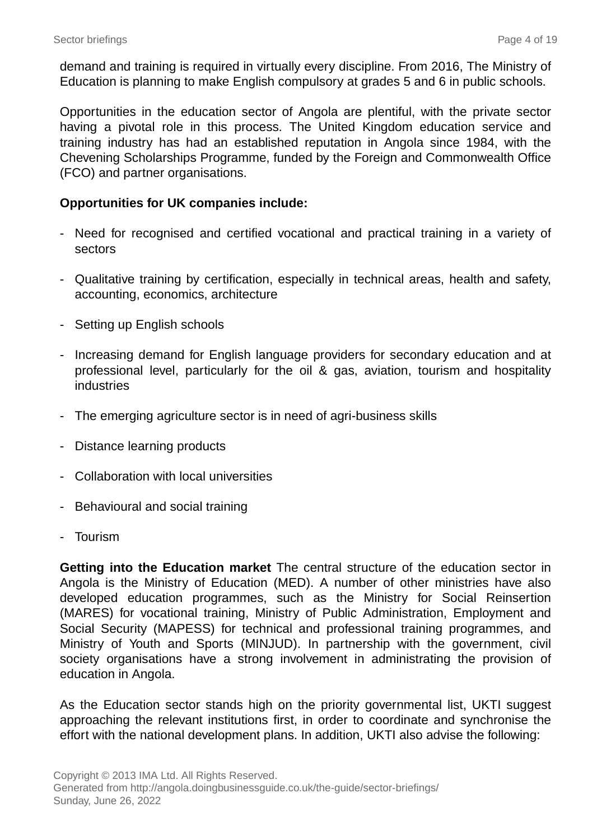demand and training is required in virtually every discipline. From 2016, The Ministry of Education is planning to make English compulsory at grades 5 and 6 in public schools.

Opportunities in the education sector of Angola are plentiful, with the private sector having a pivotal role in this process. The United Kingdom education service and training industry has had an established reputation in Angola since 1984, with the Chevening Scholarships Programme, funded by the Foreign and Commonwealth Office (FCO) and partner organisations.

#### **Opportunities for UK companies include:**

- Need for recognised and certified vocational and practical training in a variety of sectors
- Qualitative training by certification, especially in technical areas, health and safety, accounting, economics, architecture
- Setting up English schools
- Increasing demand for English language providers for secondary education and at professional level, particularly for the oil & gas, aviation, tourism and hospitality industries
- The emerging agriculture sector is in need of agri-business skills
- Distance learning products
- Collaboration with local universities
- Behavioural and social training
- Tourism

**Getting into the Education market** The central structure of the education sector in Angola is the Ministry of Education (MED). A number of other ministries have also developed education programmes, such as the Ministry for Social Reinsertion (MARES) for vocational training, Ministry of Public Administration, Employment and Social Security (MAPESS) for technical and professional training programmes, and Ministry of Youth and Sports (MINJUD). In partnership with the government, civil society organisations have a strong involvement in administrating the provision of education in Angola.

As the Education sector stands high on the priority governmental list, UKTI suggest approaching the relevant institutions first, in order to coordinate and synchronise the effort with the national development plans. In addition, UKTI also advise the following: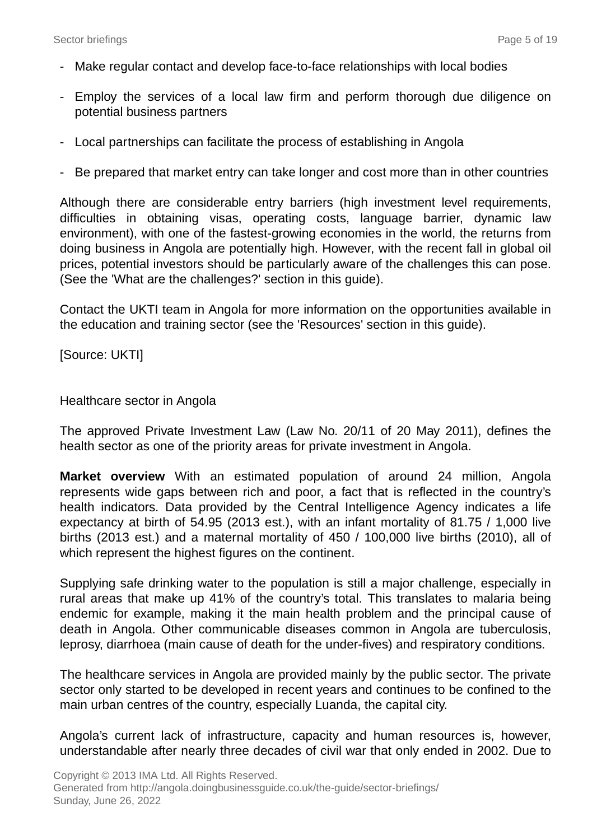- Make regular contact and develop face-to-face relationships with local bodies
- Employ the services of a local law firm and perform thorough due diligence on potential business partners
- Local partnerships can facilitate the process of establishing in Angola
- Be prepared that market entry can take longer and cost more than in other countries

Although there are considerable entry barriers (high investment level requirements, difficulties in obtaining visas, operating costs, language barrier, dynamic law environment), with one of the fastest-growing economies in the world, the returns from doing business in Angola are potentially high. However, with the recent fall in global oil prices, potential investors should be particularly aware of the challenges this can pose. (See the 'What are the challenges?' section in this guide).

Contact the UKTI team in Angola for more information on the opportunities available in the education and training sector (see the 'Resources' section in this guide).

[Source: UKTI]

Healthcare sector in Angola

The approved Private Investment Law (Law No. 20/11 of 20 May 2011), defines the health sector as one of the priority areas for private investment in Angola.

**Market overview** With an estimated population of around 24 million, Angola represents wide gaps between rich and poor, a fact that is reflected in the country's health indicators. Data provided by the Central Intelligence Agency indicates a life expectancy at birth of 54.95 (2013 est.), with an infant mortality of 81.75 / 1,000 live births (2013 est.) and a maternal mortality of 450 / 100,000 live births (2010), all of which represent the highest figures on the continent.

Supplying safe drinking water to the population is still a major challenge, especially in rural areas that make up 41% of the country's total. This translates to malaria being endemic for example, making it the main health problem and the principal cause of death in Angola. Other communicable diseases common in Angola are tuberculosis, leprosy, diarrhoea (main cause of death for the under-fives) and respiratory conditions.

The healthcare services in Angola are provided mainly by the public sector. The private sector only started to be developed in recent years and continues to be confined to the main urban centres of the country, especially Luanda, the capital city.

Angola's current lack of infrastructure, capacity and human resources is, however, understandable after nearly three decades of civil war that only ended in 2002. Due to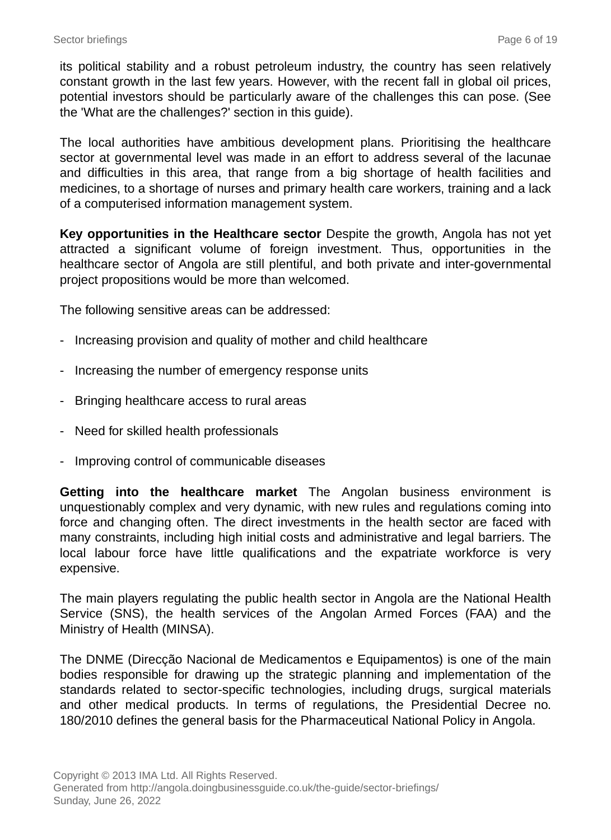its political stability and a robust petroleum industry, the country has seen relatively constant growth in the last few years. However, with the recent fall in global oil prices, potential investors should be particularly aware of the challenges this can pose. (See the 'What are the challenges?' section in this guide).

The local authorities have ambitious development plans. Prioritising the healthcare sector at governmental level was made in an effort to address several of the lacunae and difficulties in this area, that range from a big shortage of health facilities and medicines, to a shortage of nurses and primary health care workers, training and a lack of a computerised information management system.

**Key opportunities in the Healthcare sector** Despite the growth, Angola has not yet attracted a significant volume of foreign investment. Thus, opportunities in the healthcare sector of Angola are still plentiful, and both private and inter-governmental project propositions would be more than welcomed.

The following sensitive areas can be addressed:

- Increasing provision and quality of mother and child healthcare
- Increasing the number of emergency response units
- Bringing healthcare access to rural areas
- Need for skilled health professionals
- Improving control of communicable diseases

**Getting into the healthcare market** The Angolan business environment is unquestionably complex and very dynamic, with new rules and regulations coming into force and changing often. The direct investments in the health sector are faced with many constraints, including high initial costs and administrative and legal barriers. The local labour force have little qualifications and the expatriate workforce is very expensive.

The main players regulating the public health sector in Angola are the National Health Service (SNS), the health services of the Angolan Armed Forces (FAA) and the Ministry of Health (MINSA).

The DNME (Direcção Nacional de Medicamentos e Equipamentos) is one of the main bodies responsible for drawing up the strategic planning and implementation of the standards related to sector-specific technologies, including drugs, surgical materials and other medical products. In terms of regulations, the Presidential Decree no. 180/2010 defines the general basis for the Pharmaceutical National Policy in Angola.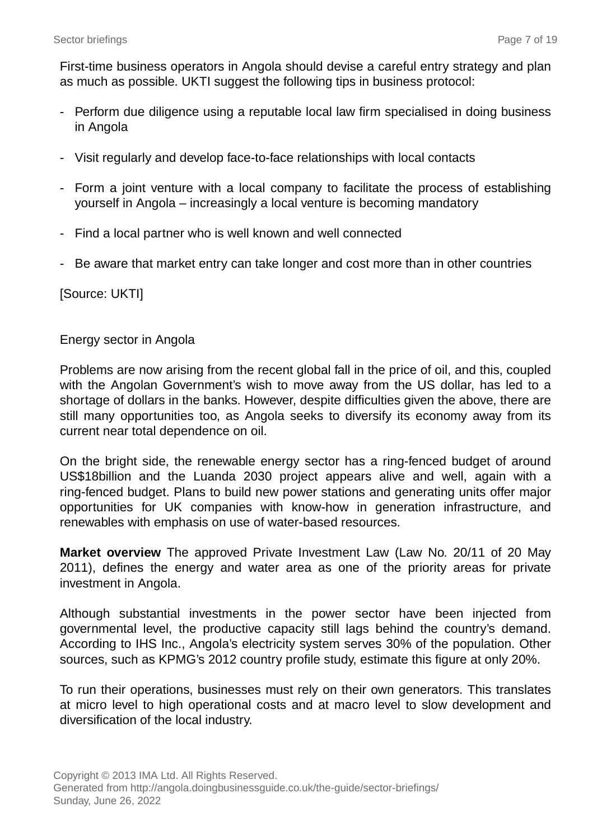First-time business operators in Angola should devise a careful entry strategy and plan as much as possible. UKTI suggest the following tips in business protocol:

- Perform due diligence using a reputable local law firm specialised in doing business in Angola
- Visit regularly and develop face-to-face relationships with local contacts
- Form a joint venture with a local company to facilitate the process of establishing yourself in Angola – increasingly a local venture is becoming mandatory
- Find a local partner who is well known and well connected
- Be aware that market entry can take longer and cost more than in other countries

[Source: UKTI]

#### Energy sector in Angola

Problems are now arising from the recent global fall in the price of oil, and this, coupled with the Angolan Government's wish to move away from the US dollar, has led to a shortage of dollars in the banks. However, despite difficulties given the above, there are still many opportunities too, as Angola seeks to diversify its economy away from its current near total dependence on oil.

On the bright side, the renewable energy sector has a ring-fenced budget of around US\$18billion and the Luanda 2030 project appears alive and well, again with a ring-fenced budget. Plans to build new power stations and generating units offer major opportunities for UK companies with know-how in generation infrastructure, and renewables with emphasis on use of water-based resources.

**Market overview** The approved Private Investment Law (Law No. 20/11 of 20 May 2011), defines the energy and water area as one of the priority areas for private investment in Angola.

Although substantial investments in the power sector have been injected from governmental level, the productive capacity still lags behind the country's demand. According to IHS Inc., Angola's electricity system serves 30% of the population. Other sources, such as KPMG's 2012 country profile study, estimate this figure at only 20%.

To run their operations, businesses must rely on their own generators. This translates at micro level to high operational costs and at macro level to slow development and diversification of the local industry.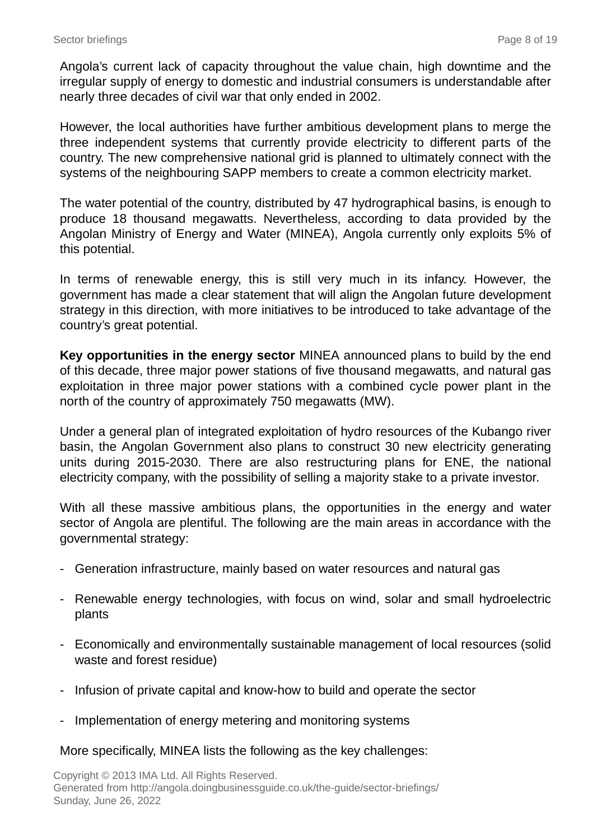Angola's current lack of capacity throughout the value chain, high downtime and the irregular supply of energy to domestic and industrial consumers is understandable after nearly three decades of civil war that only ended in 2002.

However, the local authorities have further ambitious development plans to merge the three independent systems that currently provide electricity to different parts of the country. The new comprehensive national grid is planned to ultimately connect with the systems of the neighbouring SAPP members to create a common electricity market.

The water potential of the country, distributed by 47 hydrographical basins, is enough to produce 18 thousand megawatts. Nevertheless, according to data provided by the Angolan Ministry of Energy and Water (MINEA), Angola currently only exploits 5% of this potential.

In terms of renewable energy, this is still very much in its infancy. However, the government has made a clear statement that will align the Angolan future development strategy in this direction, with more initiatives to be introduced to take advantage of the country's great potential.

**Key opportunities in the energy sector** MINEA announced plans to build by the end of this decade, three major power stations of five thousand megawatts, and natural gas exploitation in three major power stations with a combined cycle power plant in the north of the country of approximately 750 megawatts (MW).

Under a general plan of integrated exploitation of hydro resources of the Kubango river basin, the Angolan Government also plans to construct 30 new electricity generating units during 2015-2030. There are also restructuring plans for ENE, the national electricity company, with the possibility of selling a majority stake to a private investor.

With all these massive ambitious plans, the opportunities in the energy and water sector of Angola are plentiful. The following are the main areas in accordance with the governmental strategy:

- Generation infrastructure, mainly based on water resources and natural gas
- Renewable energy technologies, with focus on wind, solar and small hydroelectric plants
- Economically and environmentally sustainable management of local resources (solid waste and forest residue)
- Infusion of private capital and know-how to build and operate the sector
- Implementation of energy metering and monitoring systems

More specifically, MINEA lists the following as the key challenges: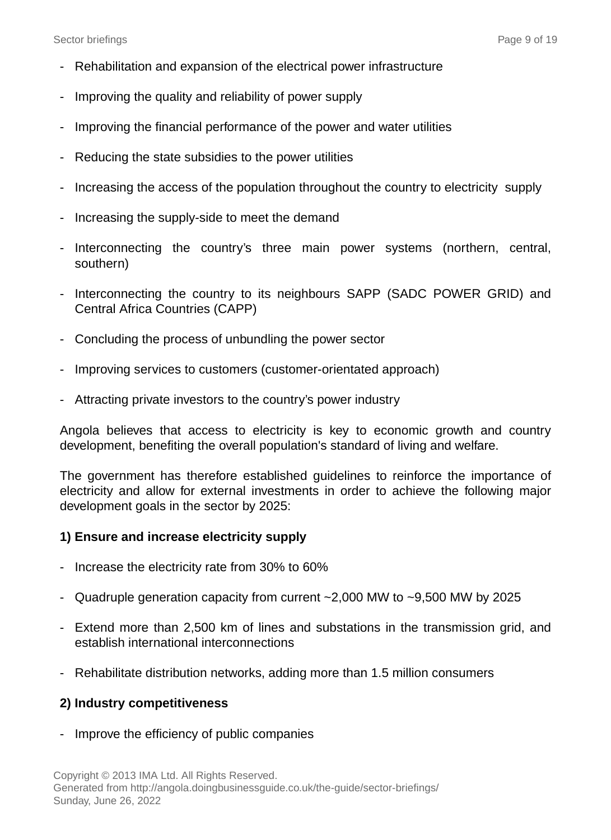- Rehabilitation and expansion of the electrical power infrastructure
- Improving the quality and reliability of power supply
- Improving the financial performance of the power and water utilities
- Reducing the state subsidies to the power utilities
- Increasing the access of the population throughout the country to electricity supply
- Increasing the supply-side to meet the demand
- Interconnecting the country's three main power systems (northern, central, southern)
- Interconnecting the country to its neighbours SAPP (SADC POWER GRID) and Central Africa Countries (CAPP)
- Concluding the process of unbundling the power sector
- Improving services to customers (customer-orientated approach)
- Attracting private investors to the country's power industry

Angola believes that access to electricity is key to economic growth and country development, benefiting the overall population's standard of living and welfare.

The government has therefore established guidelines to reinforce the importance of electricity and allow for external investments in order to achieve the following major development goals in the sector by 2025:

#### **1) Ensure and increase electricity supply**

- Increase the electricity rate from 30% to 60%
- Quadruple generation capacity from current ~2,000 MW to ~9,500 MW by 2025
- Extend more than 2,500 km of lines and substations in the transmission grid, and establish international interconnections
- Rehabilitate distribution networks, adding more than 1.5 million consumers

#### **2) Industry competitiveness**

- Improve the efficiency of public companies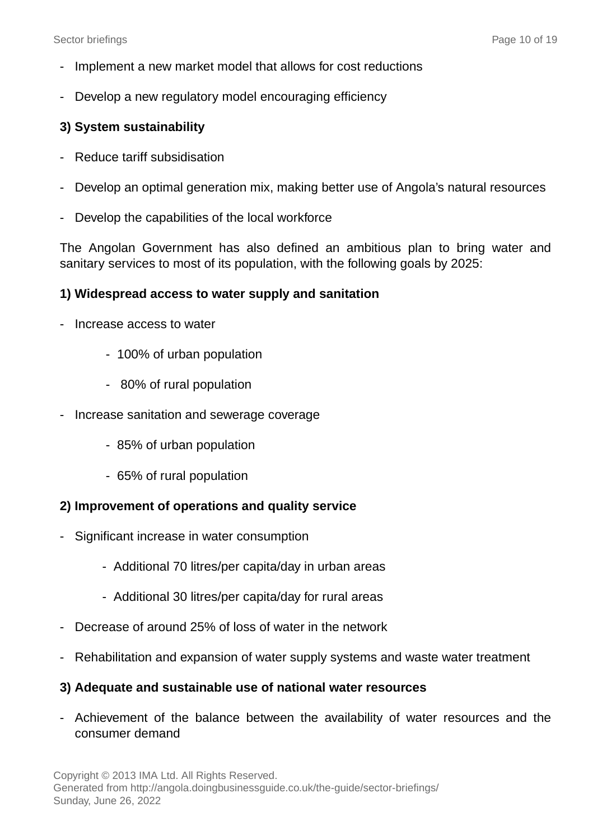- Implement a new market model that allows for cost reductions
- Develop a new regulatory model encouraging efficiency

## **3) System sustainability**

- Reduce tariff subsidisation
- Develop an optimal generation mix, making better use of Angola's natural resources
- Develop the capabilities of the local workforce

The Angolan Government has also defined an ambitious plan to bring water and sanitary services to most of its population, with the following goals by 2025:

## **1) Widespread access to water supply and sanitation**

- Increase access to water
	- 100% of urban population
	- 80% of rural population
- Increase sanitation and sewerage coverage
	- 85% of urban population
	- 65% of rural population

## **2) Improvement of operations and quality service**

- Significant increase in water consumption
	- Additional 70 litres/per capita/day in urban areas
	- Additional 30 litres/per capita/day for rural areas
- Decrease of around 25% of loss of water in the network
- Rehabilitation and expansion of water supply systems and waste water treatment

#### **3) Adequate and sustainable use of national water resources**

- Achievement of the balance between the availability of water resources and the consumer demand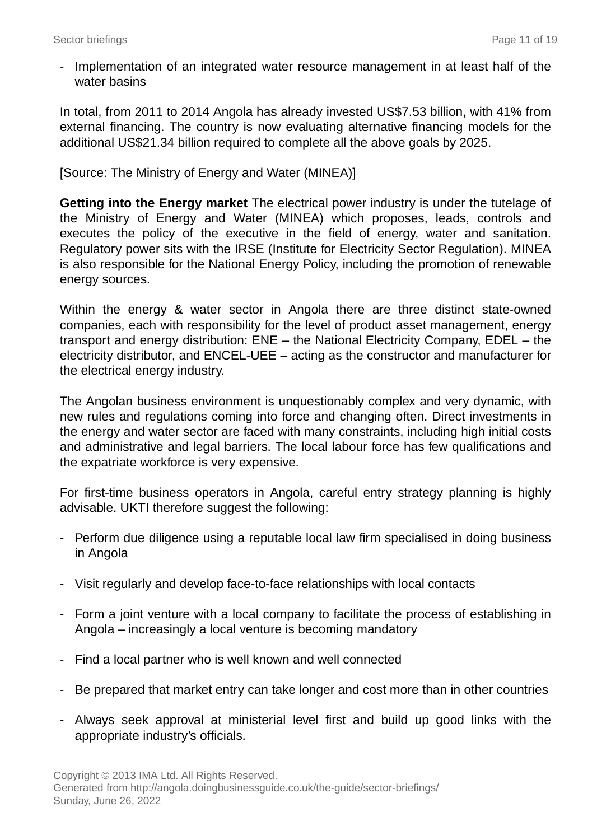- Implementation of an integrated water resource management in at least half of the water basins

In total, from 2011 to 2014 Angola has already invested US\$7.53 billion, with 41% from external financing. The country is now evaluating alternative financing models for the additional US\$21.34 billion required to complete all the above goals by 2025.

[Source: The Ministry of Energy and Water (MINEA)]

**Getting into the Energy market** The electrical power industry is under the tutelage of the Ministry of Energy and Water (MINEA) which proposes, leads, controls and executes the policy of the executive in the field of energy, water and sanitation. Regulatory power sits with the IRSE (Institute for Electricity Sector Regulation). MINEA is also responsible for the National Energy Policy, including the promotion of renewable energy sources.

Within the energy & water sector in Angola there are three distinct state-owned companies, each with responsibility for the level of product asset management, energy transport and energy distribution: ENE – the National Electricity Company, EDEL – the electricity distributor, and ENCEL-UEE – acting as the constructor and manufacturer for the electrical energy industry.

The Angolan business environment is unquestionably complex and very dynamic, with new rules and regulations coming into force and changing often. Direct investments in the energy and water sector are faced with many constraints, including high initial costs and administrative and legal barriers. The local labour force has few qualifications and the expatriate workforce is very expensive.

For first-time business operators in Angola, careful entry strategy planning is highly advisable. UKTI therefore suggest the following:

- Perform due diligence using a reputable local law firm specialised in doing business in Angola
- Visit regularly and develop face-to-face relationships with local contacts
- Form a joint venture with a local company to facilitate the process of establishing in Angola – increasingly a local venture is becoming mandatory
- Find a local partner who is well known and well connected
- Be prepared that market entry can take longer and cost more than in other countries
- Always seek approval at ministerial level first and build up good links with the appropriate industry's officials.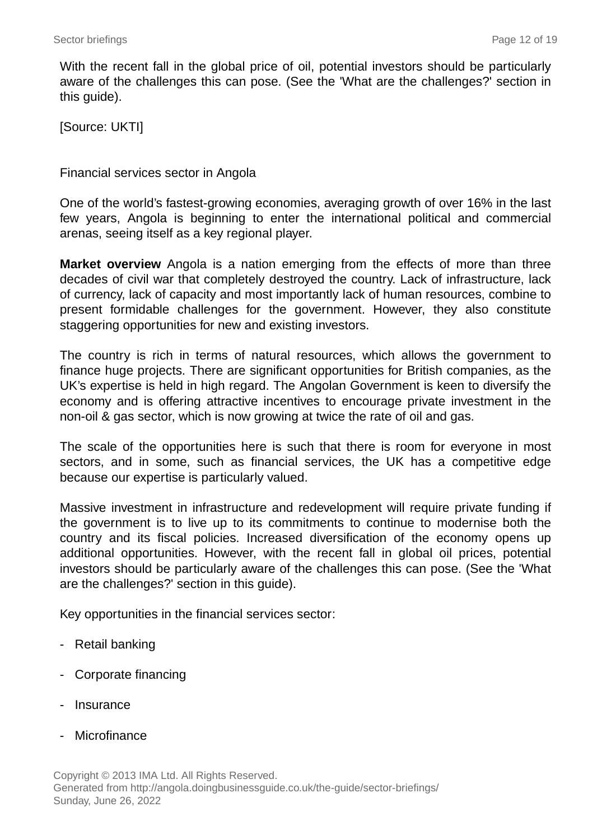With the recent fall in the global price of oil, potential investors should be particularly aware of the challenges this can pose. (See the 'What are the challenges?' section in this guide).

[Source: UKTI]

Financial services sector in Angola

One of the world's fastest-growing economies, averaging growth of over 16% in the last few years, Angola is beginning to enter the international political and commercial arenas, seeing itself as a key regional player.

**Market overview** Angola is a nation emerging from the effects of more than three decades of civil war that completely destroyed the country. Lack of infrastructure, lack of currency, lack of capacity and most importantly lack of human resources, combine to present formidable challenges for the government. However, they also constitute staggering opportunities for new and existing investors.

The country is rich in terms of natural resources, which allows the government to finance huge projects. There are significant opportunities for British companies, as the UK's expertise is held in high regard. The Angolan Government is keen to diversify the economy and is offering attractive incentives to encourage private investment in the non-oil & gas sector, which is now growing at twice the rate of oil and gas.

The scale of the opportunities here is such that there is room for everyone in most sectors, and in some, such as financial services, the UK has a competitive edge because our expertise is particularly valued.

Massive investment in infrastructure and redevelopment will require private funding if the government is to live up to its commitments to continue to modernise both the country and its fiscal policies. Increased diversification of the economy opens up additional opportunities. However, with the recent fall in global oil prices, potential investors should be particularly aware of the challenges this can pose. (See the 'What are the challenges?' section in this guide).

Key opportunities in the financial services sector:

- Retail banking
- Corporate financing
- **Insurance**
- Microfinance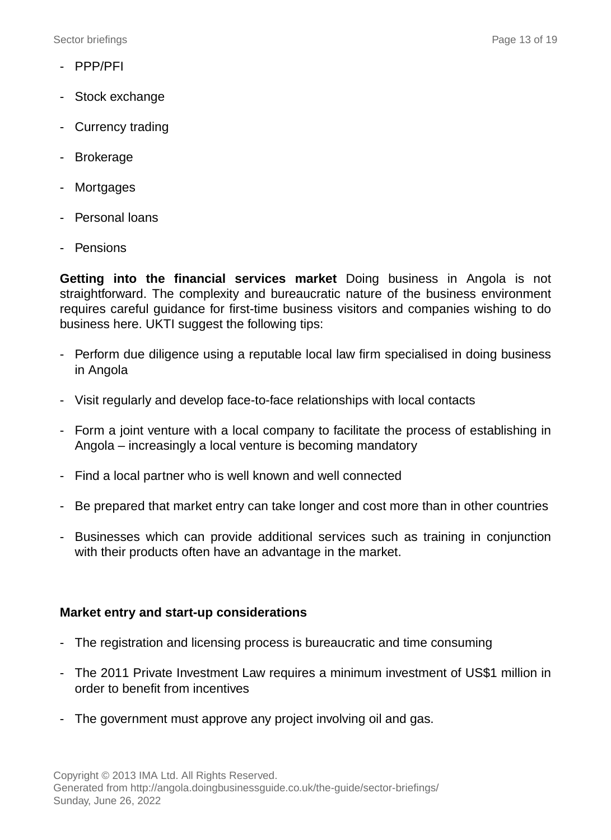Sector briefings **Page 13 of 19** Sector briefings **Page 13** of 19

- PPP/PFI
- Stock exchange
- Currency trading
- Brokerage
- Mortgages
- Personal loans
- Pensions

**Getting into the financial services market** Doing business in Angola is not straightforward. The complexity and bureaucratic nature of the business environment requires careful guidance for first-time business visitors and companies wishing to do business here. UKTI suggest the following tips:

- Perform due diligence using a reputable local law firm specialised in doing business in Angola
- Visit regularly and develop face-to-face relationships with local contacts
- Form a joint venture with a local company to facilitate the process of establishing in Angola – increasingly a local venture is becoming mandatory
- Find a local partner who is well known and well connected
- Be prepared that market entry can take longer and cost more than in other countries
- Businesses which can provide additional services such as training in conjunction with their products often have an advantage in the market.

#### **Market entry and start-up considerations**

- The registration and licensing process is bureaucratic and time consuming
- The 2011 Private Investment Law requires a minimum investment of US\$1 million in order to benefit from incentives
- The government must approve any project involving oil and gas.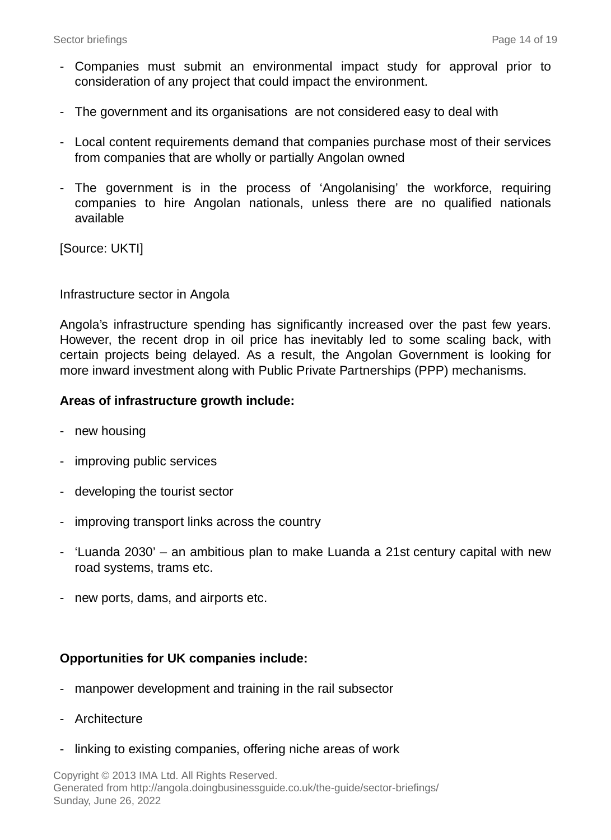- Companies must submit an environmental impact study for approval prior to consideration of any project that could impact the environment.
- The government and its organisations are not considered easy to deal with
- Local content requirements demand that companies purchase most of their services from companies that are wholly or partially Angolan owned
- The government is in the process of 'Angolanising' the workforce, requiring companies to hire Angolan nationals, unless there are no qualified nationals available

[Source: UKTI]

Infrastructure sector in Angola

Angola's infrastructure spending has significantly increased over the past few years. However, the recent drop in oil price has inevitably led to some scaling back, with certain projects being delayed. As a result, the Angolan Government is looking for more inward investment along with Public Private Partnerships (PPP) mechanisms.

### **Areas of infrastructure growth include:**

- new housing
- improving public services
- developing the tourist sector
- improving transport links across the country
- 'Luanda 2030' an ambitious plan to make Luanda a 21st century capital with new road systems, trams etc.
- new ports, dams, and airports etc.

## **Opportunities for UK companies include:**

- manpower development and training in the rail subsector
- Architecture
- linking to existing companies, offering niche areas of work

Copyright © 2013 IMA Ltd. All Rights Reserved. Generated from http://angola.doingbusinessguide.co.uk/the-guide/sector-briefings/ Sunday, June 26, 2022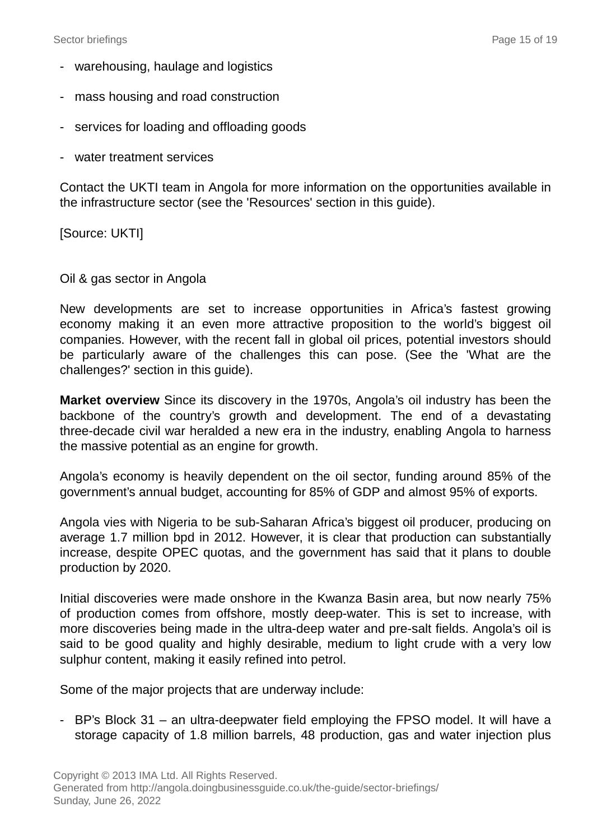- warehousing, haulage and logistics
- mass housing and road construction
- services for loading and offloading goods
- water treatment services

Contact the UKTI team in Angola for more information on the opportunities available in the infrastructure sector (see the 'Resources' section in this guide).

[Source: UKTI]

#### Oil & gas sector in Angola

New developments are set to increase opportunities in Africa's fastest growing economy making it an even more attractive proposition to the world's biggest oil companies. However, with the recent fall in global oil prices, potential investors should be particularly aware of the challenges this can pose. (See the 'What are the challenges?' section in this guide).

**Market overview** Since its discovery in the 1970s, Angola's oil industry has been the backbone of the country's growth and development. The end of a devastating three-decade civil war heralded a new era in the industry, enabling Angola to harness the massive potential as an engine for growth.

Angola's economy is heavily dependent on the oil sector, funding around 85% of the government's annual budget, accounting for 85% of GDP and almost 95% of exports.

Angola vies with Nigeria to be sub-Saharan Africa's biggest oil producer, producing on average 1.7 million bpd in 2012. However, it is clear that production can substantially increase, despite OPEC quotas, and the government has said that it plans to double production by 2020.

Initial discoveries were made onshore in the Kwanza Basin area, but now nearly 75% of production comes from offshore, mostly deep-water. This is set to increase, with more discoveries being made in the ultra-deep water and pre-salt fields. Angola's oil is said to be good quality and highly desirable, medium to light crude with a very low sulphur content, making it easily refined into petrol.

Some of the major projects that are underway include:

- BP's Block 31 – an ultra-deepwater field employing the FPSO model. It will have a storage capacity of 1.8 million barrels, 48 production, gas and water injection plus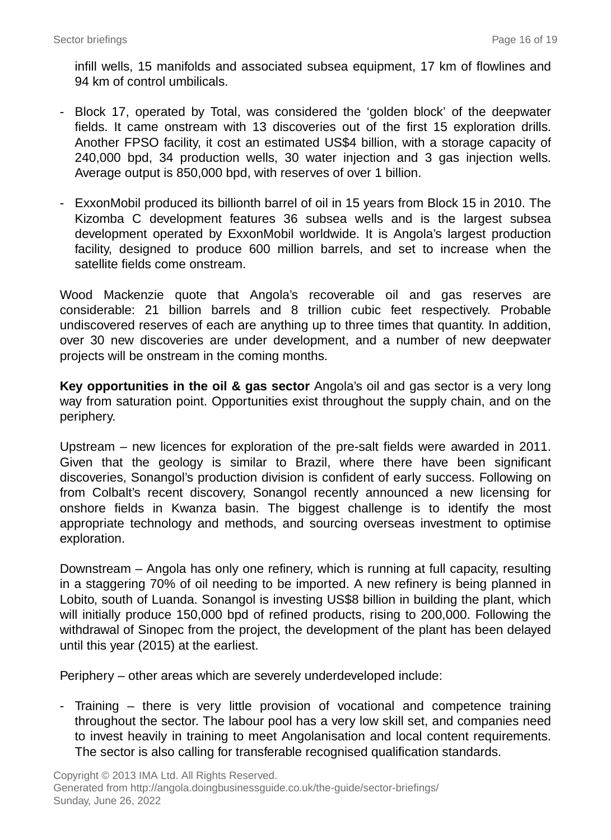infill wells, 15 manifolds and associated subsea equipment, 17 km of flowlines and 94 km of control umbilicals.

- Block 17, operated by Total, was considered the 'golden block' of the deepwater fields. It came onstream with 13 discoveries out of the first 15 exploration drills. Another FPSO facility, it cost an estimated US\$4 billion, with a storage capacity of 240,000 bpd, 34 production wells, 30 water injection and 3 gas injection wells. Average output is 850,000 bpd, with reserves of over 1 billion.
- ExxonMobil produced its billionth barrel of oil in 15 years from Block 15 in 2010. The Kizomba C development features 36 subsea wells and is the largest subsea development operated by ExxonMobil worldwide. It is Angola's largest production facility, designed to produce 600 million barrels, and set to increase when the satellite fields come onstream.

Wood Mackenzie quote that Angola's recoverable oil and gas reserves are considerable: 21 billion barrels and 8 trillion cubic feet respectively. Probable undiscovered reserves of each are anything up to three times that quantity. In addition, over 30 new discoveries are under development, and a number of new deepwater projects will be onstream in the coming months.

**Key opportunities in the oil & gas sector** Angola's oil and gas sector is a very long way from saturation point. Opportunities exist throughout the supply chain, and on the periphery.

Upstream – new licences for exploration of the pre-salt fields were awarded in 2011. Given that the geology is similar to Brazil, where there have been significant discoveries, Sonangol's production division is confident of early success. Following on from Colbalt's recent discovery, Sonangol recently announced a new licensing for onshore fields in Kwanza basin. The biggest challenge is to identify the most appropriate technology and methods, and sourcing overseas investment to optimise exploration.

Downstream – Angola has only one refinery, which is running at full capacity, resulting in a staggering 70% of oil needing to be imported. A new refinery is being planned in Lobito, south of Luanda. Sonangol is investing US\$8 billion in building the plant, which will initially produce 150,000 bpd of refined products, rising to 200,000. Following the withdrawal of Sinopec from the project, the development of the plant has been delayed until this year (2015) at the earliest.

Periphery – other areas which are severely underdeveloped include:

- Training – there is very little provision of vocational and competence training throughout the sector. The labour pool has a very low skill set, and companies need to invest heavily in training to meet Angolanisation and local content requirements. The sector is also calling for transferable recognised qualification standards.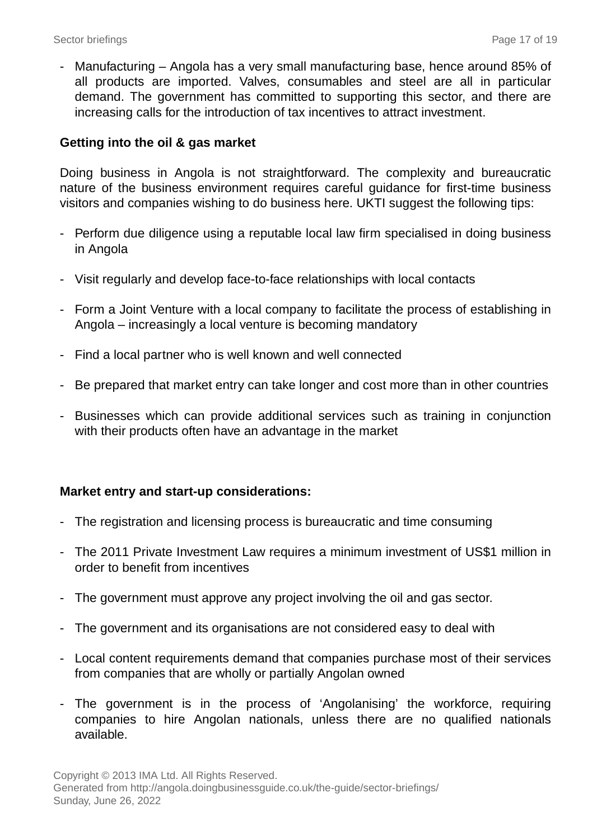- Manufacturing – Angola has a very small manufacturing base, hence around 85% of all products are imported. Valves, consumables and steel are all in particular demand. The government has committed to supporting this sector, and there are increasing calls for the introduction of tax incentives to attract investment.

## **Getting into the oil & gas market**

Doing business in Angola is not straightforward. The complexity and bureaucratic nature of the business environment requires careful guidance for first-time business visitors and companies wishing to do business here. UKTI suggest the following tips:

- Perform due diligence using a reputable local law firm specialised in doing business in Angola
- Visit regularly and develop face-to-face relationships with local contacts
- Form a Joint Venture with a local company to facilitate the process of establishing in Angola – increasingly a local venture is becoming mandatory
- Find a local partner who is well known and well connected
- Be prepared that market entry can take longer and cost more than in other countries
- Businesses which can provide additional services such as training in conjunction with their products often have an advantage in the market

#### **Market entry and start-up considerations:**

- The registration and licensing process is bureaucratic and time consuming
- The 2011 Private Investment Law requires a minimum investment of US\$1 million in order to benefit from incentives
- The government must approve any project involving the oil and gas sector.
- The government and its organisations are not considered easy to deal with
- Local content requirements demand that companies purchase most of their services from companies that are wholly or partially Angolan owned
- The government is in the process of 'Angolanising' the workforce, requiring companies to hire Angolan nationals, unless there are no qualified nationals available.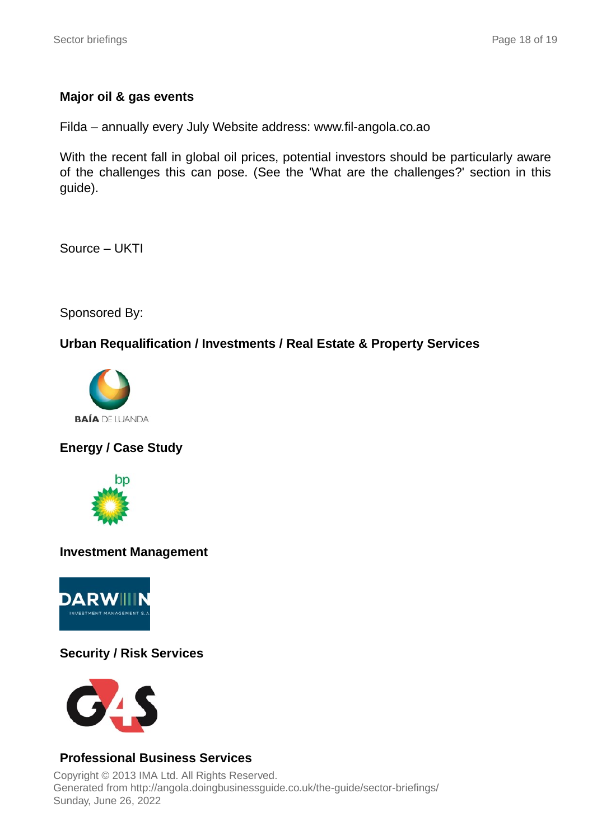## **Major oil & gas events**

Filda – annually every July Website address: www.fil-angola.co.ao

With the recent fall in global oil prices, potential investors should be particularly aware of the challenges this can pose. (See the 'What are the challenges?' section in this guide).

Source – UKTI

Sponsored By:

## **Urban Requalification / Investments / Real Estate & Property Services**



## **Energy / Case Study**



#### **Investment Management**



## **Security / Risk Services**



## **Professional Business Services**

Copyright © 2013 IMA Ltd. All Rights Reserved. Generated from http://angola.doingbusinessguide.co.uk/the-guide/sector-briefings/ Sunday, June 26, 2022